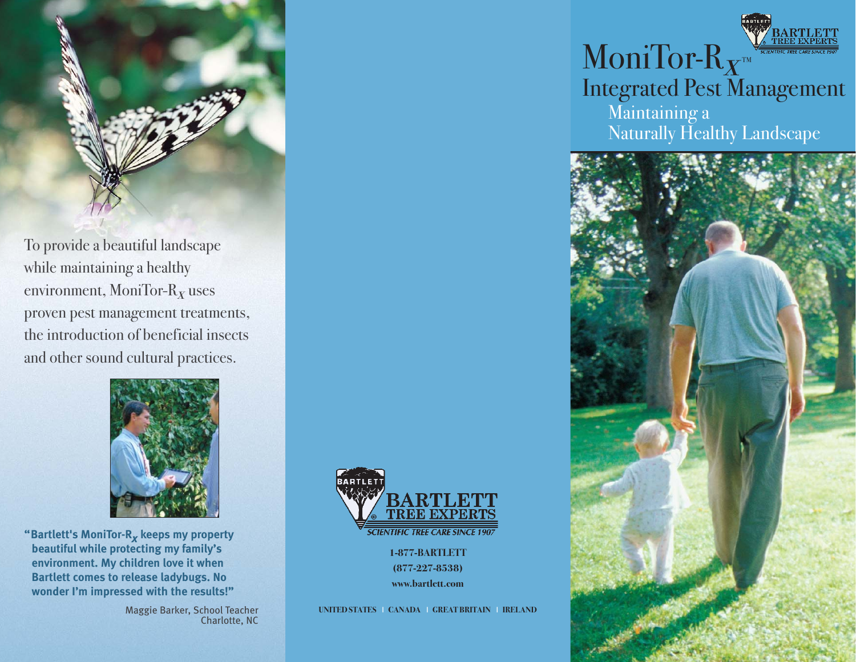

To provide a beautiful landscape while maintaining a healthy environment, MoniTor- $R_x$  uses proven pest management treatments, the introduction of beneficial insects and other sound cultural practices.



**"Bartlett's MoniTor-R***x* **keeps my property beautiful while protecting my family's environment. My children love it when Bartlett comes to release ladybugs. No wonder I'm impressed with the results!"**

> Maggie Barker, School Teacher Charlotte, NC



**1-877-BARTLETT (877-227-8538) www.bartlett.com**

**UNITED STATES** I **CANADA** I **GREAT BRITAIN** I **IRELAND**

# MoniTor- $R_{\mathbf{X}^m}$ Integrated Pest Management Maintaining a Naturally Healthy Landscape